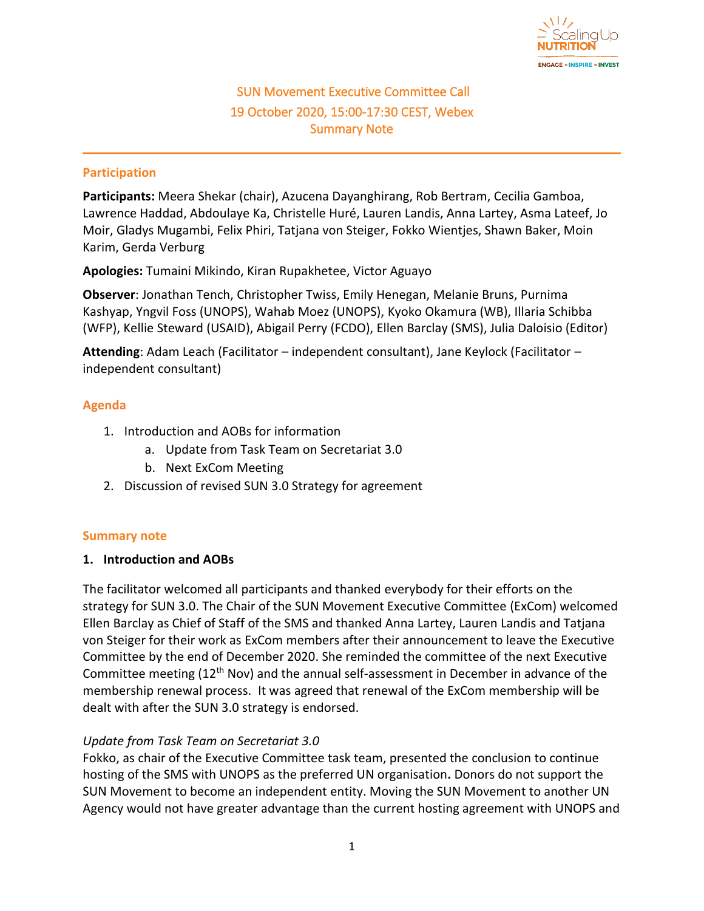

# SUN Movement Executive Committee Call 19 October 2020, 15:00-17:30 CEST, Webex Summary Note

#### **Participation**

**Participants:** Meera Shekar (chair), Azucena Dayanghirang, Rob Bertram, Cecilia Gamboa, Lawrence Haddad, Abdoulaye Ka, Christelle Huré, Lauren Landis, Anna Lartey, Asma Lateef, Jo Moir, Gladys Mugambi, Felix Phiri, Tatjana von Steiger, Fokko Wientjes, Shawn Baker, Moin Karim, Gerda Verburg

**Apologies:** Tumaini Mikindo, Kiran Rupakhetee, Victor Aguayo

**Observer**: Jonathan Tench, Christopher Twiss, Emily Henegan, Melanie Bruns, Purnima Kashyap, Yngvil Foss (UNOPS), Wahab Moez (UNOPS), Kyoko Okamura (WB), Illaria Schibba (WFP), Kellie Steward (USAID), Abigail Perry (FCDO), Ellen Barclay (SMS), Julia Daloisio (Editor)

**Attending**: Adam Leach (Facilitator – independent consultant), Jane Keylock (Facilitator – independent consultant)

### **Agenda**

- 1. Introduction and AOBs for information
	- a. Update from Task Team on Secretariat 3.0
	- b. Next ExCom Meeting
- 2. Discussion of revised SUN 3.0 Strategy for agreement

#### **Summary note**

#### **1. Introduction and AOBs**

The facilitator welcomed all participants and thanked everybody for their efforts on the strategy for SUN 3.0. The Chair of the SUN Movement Executive Committee (ExCom) welcomed Ellen Barclay as Chief of Staff of the SMS and thanked Anna Lartey, Lauren Landis and Tatjana von Steiger for their work as ExCom members after their announcement to leave the Executive Committee by the end of December 2020. She reminded the committee of the next Executive Committee meeting (12<sup>th</sup> Nov) and the annual self-assessment in December in advance of the membership renewal process. It was agreed that renewal of the ExCom membership will be dealt with after the SUN 3.0 strategy is endorsed.

## *Update from Task Team on Secretariat 3.0*

Fokko, as chair of the Executive Committee task team, presented the conclusion to continue hosting of the SMS with UNOPS as the preferred UN organisation**.** Donors do not support the SUN Movement to become an independent entity. Moving the SUN Movement to another UN Agency would not have greater advantage than the current hosting agreement with UNOPS and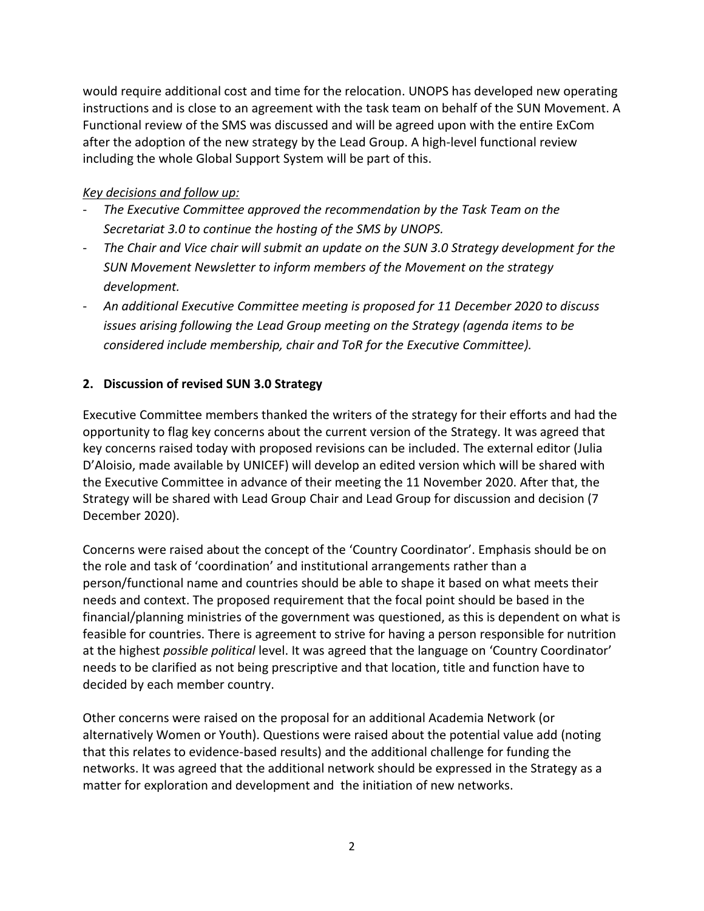would require additional cost and time for the relocation. UNOPS has developed new operating instructions and is close to an agreement with the task team on behalf of the SUN Movement. A Functional review of the SMS was discussed and will be agreed upon with the entire ExCom after the adoption of the new strategy by the Lead Group. A high-level functional review including the whole Global Support System will be part of this.

## *Key decisions and follow up:*

- *The Executive Committee approved the recommendation by the Task Team on the Secretariat 3.0 to continue the hosting of the SMS by UNOPS.*
- *The Chair and Vice chair will submit an update on the SUN 3.0 Strategy development for the SUN Movement Newsletter to inform members of the Movement on the strategy development.*
- *An additional Executive Committee meeting is proposed for 11 December 2020 to discuss issues arising following the Lead Group meeting on the Strategy (agenda items to be considered include membership, chair and ToR for the Executive Committee).*

## **2. Discussion of revised SUN 3.0 Strategy**

Executive Committee members thanked the writers of the strategy for their efforts and had the opportunity to flag key concerns about the current version of the Strategy. It was agreed that key concerns raised today with proposed revisions can be included. The external editor (Julia D'Aloisio, made available by UNICEF) will develop an edited version which will be shared with the Executive Committee in advance of their meeting the 11 November 2020. After that, the Strategy will be shared with Lead Group Chair and Lead Group for discussion and decision (7 December 2020).

Concerns were raised about the concept of the 'Country Coordinator'. Emphasis should be on the role and task of 'coordination' and institutional arrangements rather than a person/functional name and countries should be able to shape it based on what meets their needs and context. The proposed requirement that the focal point should be based in the financial/planning ministries of the government was questioned, as this is dependent on what is feasible for countries. There is agreement to strive for having a person responsible for nutrition at the highest *possible political* level. It was agreed that the language on 'Country Coordinator' needs to be clarified as not being prescriptive and that location, title and function have to decided by each member country.

Other concerns were raised on the proposal for an additional Academia Network (or alternatively Women or Youth). Questions were raised about the potential value add (noting that this relates to evidence-based results) and the additional challenge for funding the networks. It was agreed that the additional network should be expressed in the Strategy as a matter for exploration and development and the initiation of new networks.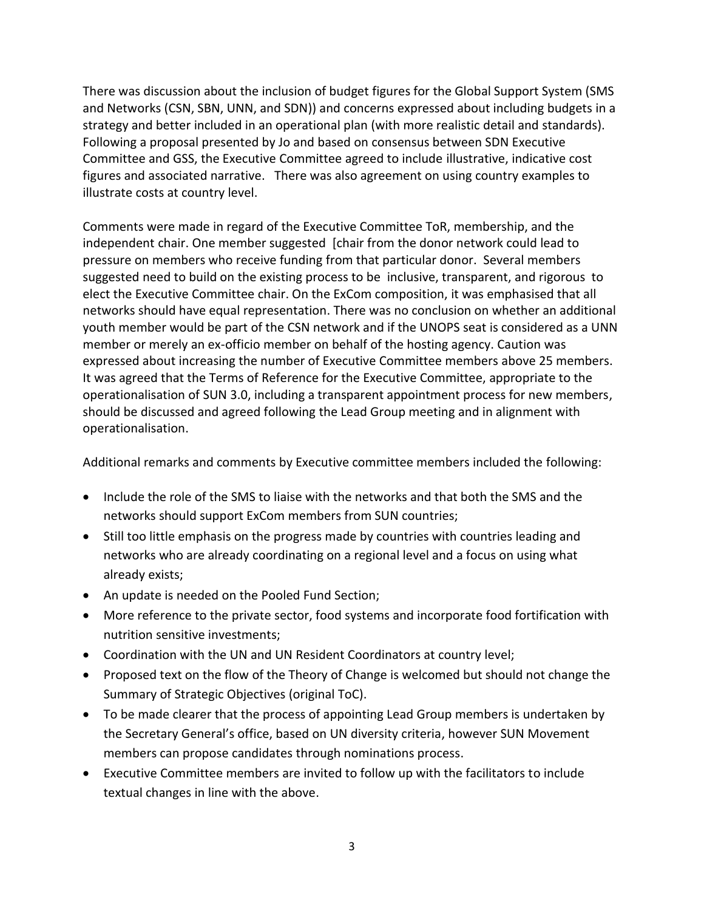There was discussion about the inclusion of budget figures for the Global Support System (SMS and Networks (CSN, SBN, UNN, and SDN)) and concerns expressed about including budgets in a strategy and better included in an operational plan (with more realistic detail and standards). Following a proposal presented by Jo and based on consensus between SDN Executive Committee and GSS, the Executive Committee agreed to include illustrative, indicative cost figures and associated narrative. There was also agreement on using country examples to illustrate costs at country level.

Comments were made in regard of the Executive Committee ToR, membership, and the independent chair. One member suggested [chair from the donor network could lead to pressure on members who receive funding from that particular donor. Several members suggested need to build on the existing process to be inclusive, transparent, and rigorous to elect the Executive Committee chair. On the ExCom composition, it was emphasised that all networks should have equal representation. There was no conclusion on whether an additional youth member would be part of the CSN network and if the UNOPS seat is considered as a UNN member or merely an ex-officio member on behalf of the hosting agency. Caution was expressed about increasing the number of Executive Committee members above 25 members. It was agreed that the Terms of Reference for the Executive Committee, appropriate to the operationalisation of SUN 3.0, including a transparent appointment process for new members, should be discussed and agreed following the Lead Group meeting and in alignment with operationalisation.

Additional remarks and comments by Executive committee members included the following:

- Include the role of the SMS to liaise with the networks and that both the SMS and the networks should support ExCom members from SUN countries;
- Still too little emphasis on the progress made by countries with countries leading and networks who are already coordinating on a regional level and a focus on using what already exists;
- An update is needed on the Pooled Fund Section;
- More reference to the private sector, food systems and incorporate food fortification with nutrition sensitive investments;
- Coordination with the UN and UN Resident Coordinators at country level;
- Proposed text on the flow of the Theory of Change is welcomed but should not change the Summary of Strategic Objectives (original ToC).
- To be made clearer that the process of appointing Lead Group members is undertaken by the Secretary General's office, based on UN diversity criteria, however SUN Movement members can propose candidates through nominations process.
- Executive Committee members are invited to follow up with the facilitators to include textual changes in line with the above.